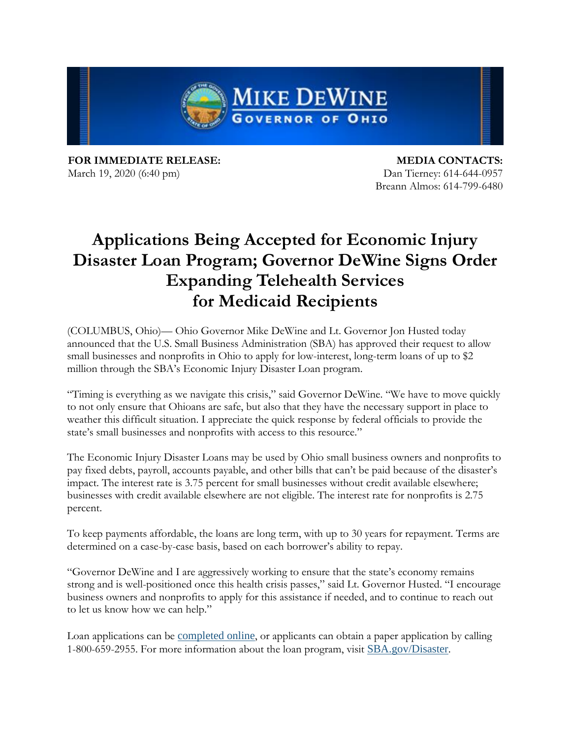

**FOR IMMEDIATE RELEASE:** March 19, 2020 (6:40 pm)

**MEDIA CONTACTS:** Dan Tierney: 614-644-0957 Breann Almos: 614-799-6480

## **Applications Being Accepted for Economic Injury Disaster Loan Program; Governor DeWine Signs Order Expanding Telehealth Services for Medicaid Recipients**

(COLUMBUS, Ohio)— Ohio Governor Mike DeWine and Lt. Governor Jon Husted today announced that the U.S. Small Business Administration (SBA) has approved their request to allow small businesses and nonprofits in Ohio to apply for low-interest, long-term loans of up to \$2 million through the SBA's Economic Injury Disaster Loan program.

"Timing is everything as we navigate this crisis," said Governor DeWine. "We have to move quickly to not only ensure that Ohioans are safe, but also that they have the necessary support in place to weather this difficult situation. I appreciate the quick response by federal officials to provide the state's small businesses and nonprofits with access to this resource."

The Economic Injury Disaster Loans may be used by Ohio small business owners and nonprofits to pay fixed debts, payroll, accounts payable, and other bills that can't be paid because of the disaster's impact. The interest rate is 3.75 percent for small businesses without credit available elsewhere; businesses with credit available elsewhere are not eligible. The interest rate for nonprofits is 2.75 percent.

To keep payments affordable, the loans are long term, with up to 30 years for repayment. Terms are determined on a case-by-case basis, based on each borrower's ability to repay.

"Governor DeWine and I are aggressively working to ensure that the state's economy remains strong and is well-positioned once this health crisis passes," said Lt. Governor Husted. "I encourage business owners and nonprofits to apply for this assistance if needed, and to continue to reach out to let us know how we can help."

Loan applications can be [completed](https://gcc01.safelinks.protection.outlook.com/?url=https%3A%2F%2Flnks.gd%2Fl%2FeyJhbGciOiJIUzI1NiJ9.eyJidWxsZXRpbl9saW5rX2lkIjoxMDEsInVyaSI6ImJwMjpjbGljayIsImJ1bGxldGluX2lkIjoiMjAyMDAzMTkuMTkwMTkzOTEiLCJ1cmwiOiJodHRwczovL2Rpc2FzdGVybG9hbi5zYmEuZ292L2VsYS8ifQ.P0RdQTZybtdxLsY-NcKokabfyNeKau6y7uhgqvmgcw4%2Fbr%2F76375638593-l&data=02%7C01%7Ckblackwell%40dps.ohio.gov%7Cd082253b00134478617408d7cc567667%7C50f8fcc494d84f0784eb36ed57c7c8a2%7C0%7C0%7C637202544037588859&sdata=cAo0eZkmH9aoUt%2FRN5um8rBTcMA5DR1dkvV7Zjmr3b4%3D&reserved=0) online, or applicants can obtain a paper application by calling 1-800-659-2955. For more information about the loan program, visit [SBA.gov/Disaster](https://gcc01.safelinks.protection.outlook.com/?url=https%3A%2F%2Flnks.gd%2Fl%2FeyJhbGciOiJIUzI1NiJ9.eyJidWxsZXRpbl9saW5rX2lkIjoxMDIsInVyaSI6ImJwMjpjbGljayIsImJ1bGxldGluX2lkIjoiMjAyMDAzMTkuMTkwMTkzOTEiLCJ1cmwiOiJodHRwczovL3d3dy5zYmEuZ292L2Z1bmRpbmctcHJvZ3JhbXMvZGlzYXN0ZXItYXNzaXN0YW5jZSJ9.Uzcp6SI_OxnbBnR2YV9UxUBl86hE0QxWsXh1E7vAlq8%2Fbr%2F76375638593-l&data=02%7C01%7Ckblackwell%40dps.ohio.gov%7Cd082253b00134478617408d7cc567667%7C50f8fcc494d84f0784eb36ed57c7c8a2%7C0%7C0%7C637202544037588859&sdata=0hNcgwQsfLJwD%2FQ3NaMCSO%2Bcs7mdiLUAZvegVAsx4rk%3D&reserved=0).